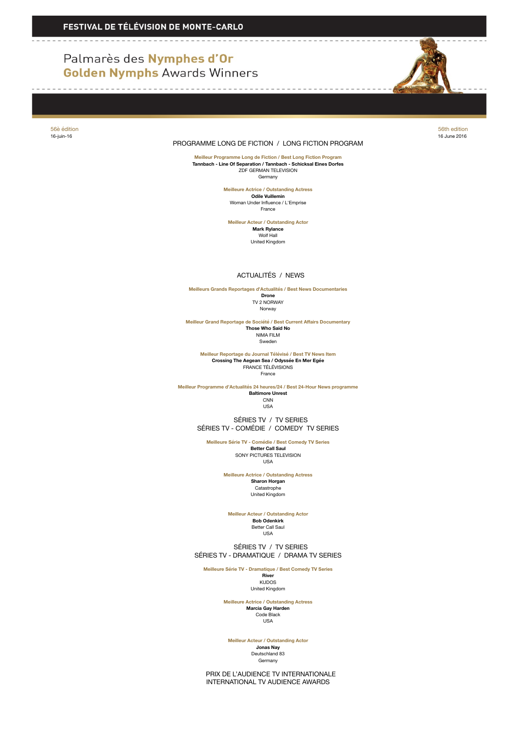## Palmarès des Nymphes d'Or **Golden Nymphs Awards Winners**

------------



56è édition 56th edition

## 16-juin-16 16 June 2016 PROGRAMME LONG DE FICTION / LONG FICTION PROGRAM

---------

**Meilleur Programme Long de Fiction / Best Long Fiction Program Tannbach - Line Of Separation / Tannbach - Schicksal Eines Dorfes** ZDF GERMAN TELEVISION Germany

> **Meilleure Actrice / Outstanding Actress Odile Vuillemin** Woman Under Influence / L'Emprise France

**Meilleur Acteur / Outstanding Actor Mark Rylance** Wolf Hall United Kingdom

## ACTUALITÉS / NEWS

**Meilleurs Grands Reportages d'Actualités / Best News Documentaries Drone** TV 2 NORWAY Norway

**Meilleur Grand Reportage de Société / Best Current Affairs Documentary Those Who Said No** NIMA FILM Sweden

**Meilleur Reportage du Journal Télévisé / Best TV News Item Crossing The Aegean Sea / Odyssée En Mer Egée** FRANCE TÉLÉVISIONS France

**Meilleur Programme d'Actualités 24 heures/24 / Best 24-Hour News programme Baltimore Unrest CNN** 

USA

 SÉRIES TV / TV SERIES SÉRIES TV - COMÉDIE / COMEDY TV SERIES

**Meilleure Série TV - Comédie / Best Comedy TV Series Better Call Saul** SONY PICTURES TELEVISION USA

> **Meilleure Actrice / Outstanding Actress Sharon Horgan** Catastrophe United Kingdom

**Meilleur Acteur / Outstanding Actor**

**Bob Odenkirk** Better Call Saul USA

 SÉRIES TV / TV SERIES SÉRIES TV - DRAMATIQUE / DRAMA TV SERIES

**Meilleure Série TV - Dramatique / Best Comedy TV Series River**

KUDOS United Kingdom

**Meilleure Actrice / Outstanding Actress Marcia Gay Harden** Code Black USA

**Meilleur Acteur / Outstanding Actor**

**Jonas Nay** Deutschland 83 Germany

 PRIX DE L'AUDIENCE TV INTERNATIONALE INTERNATIONAL TV AUDIENCE AWARDS